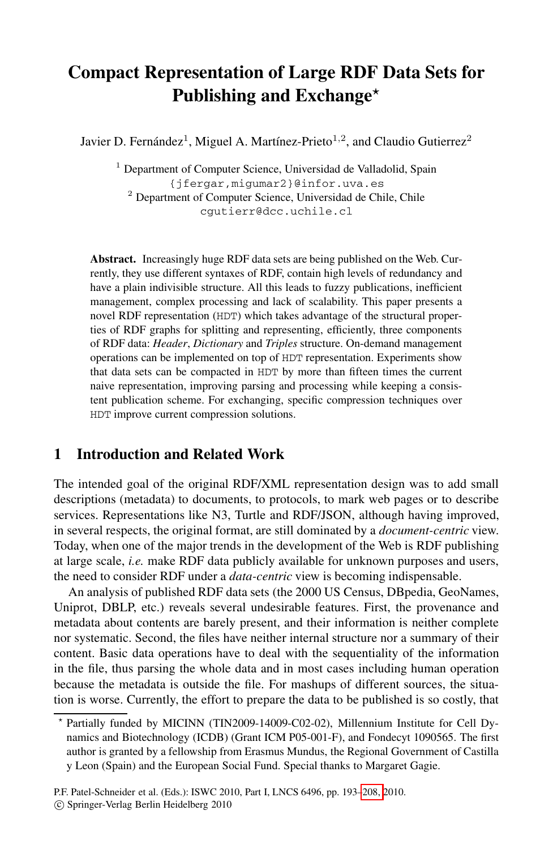# **Compact Representation of Large RDF Data Sets for Publishing and Exchange***-*

Javier D. Fernández<sup>1</sup>, Miguel A. Martínez-Prieto<sup>1,2</sup>, and Claudio Gutierrez<sup>2</sup>

<sup>1</sup> Department of Computer Science, Universidad de Valladolid, Spain {jfergar,migumar2}@infor.uva.es <sup>2</sup> Department of Computer Science, Universidad de Chile, Chile cgutierr@dcc.uchile.cl

**Abstract.** Increasingly huge RDF data sets are being published on the Web. Currently, they use different syntaxes of RDF, contain high levels of redundancy and have a plain indivisible structure. All this leads to fuzzy publications, inefficient management, complex processing and lack of scalability. This paper presents a novel RDF representation (HDT) which takes advantage of the structural properties of RDF graphs for splitting and representing, efficiently, three components of RDF data: *Header*, *Dictionary* and *Triples* structure. On-demand management operations can be implemented on top of HDT representation. Experiments show that data sets can be compacted in HDT by more than fifteen times the current naive representation, improving parsing and processing while keeping a consistent publication scheme. For exchanging, specific compression techniques over HDT improve current compression solutions.

# **1 Introduction and Related Work**

The intended goal of the original RDF/XML representation design was to add small descriptions (metadata) to documents, to protocols, to mark web pages or to describe services. Representations like N3, Turtle and RDF/JSON, although having improved, in several respects, the original format, are still dominated by a *document-centric* view. Today, when one of the major trends in the development of the Web is RDF publishing at large scale, *i.e.* make RDF data publicly available for unknown purposes and users, the need to consider RDF under a *data-centric* view is becoming indispensable.

An analysis of published RDF data sets (the 2000 US Census, DBpedia, GeoNames, Uniprot, DBLP, etc.) reveals several undesirable features. First, the provenance and metadata about contents are barely present, and their information is neither complete nor systematic. Second, the files have neither internal structure nor a summary of their content. Basic data operations have to deal with the sequentiality of the information in the file, thus parsing the whole dat[a and](#page-15-0) in most cases including human operation because the metadata is outside the file. For mashups of different sources, the situation is worse. Currently, the effort to prepare the data to be published is so costly, that

<sup>-</sup> Partially funded by MICINN (TIN2009-14009-C02-02), Millennium Institute for Cell Dynamics and Biotechnology (ICDB) (Grant ICM P05-001-F), and Fondecyt 1090565. The first author is granted by a fellowship from Erasmus Mundus, the Regional Government of Castilla y Leon (Spain) and the European Social Fund. Special thanks to Margaret Gagie.

P.F. Patel-Schneider et al. (Eds.): ISWC 2010, Part I, LNCS 6496, pp. 193–208, 2010.

<sup>-</sup>c Springer-Verlag Berlin Heidelberg 2010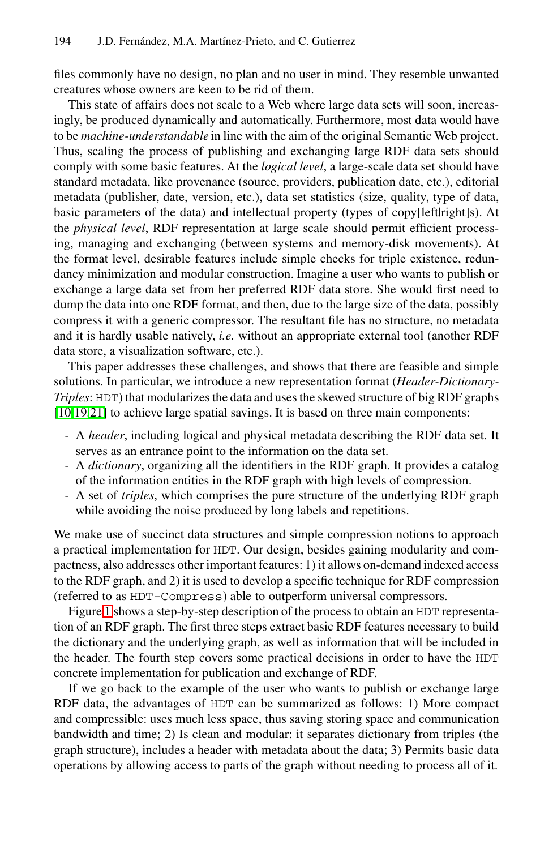files commonly have no design, no plan and no user in mind. They resemble unwanted creatures whose owners are keen to be rid of them.

This state of affairs does not scale to a Web where large data sets will soon, increasingly, be produced dynamically and automatically. Furthermore, most data would have to be *machine-understandable* in line with the aim of the original Semantic Web project. Thus, scaling the process of publishing and exchanging large RDF data sets should comply with some basic features. At the *logical level*, a large-scale data set should have standard metadata, like provenance (source, providers, publication date, etc.), editorial metadata (publisher, date, version, etc.), data set statistics (size, quality, type of data, basic parameters of the data) and intellectual property (types of copy[left|right]s). At the *physical level*, RDF representation at large scale should permit efficient processing, managing and exchanging (between systems and memory-disk movements). At the format level, desirable features include simple checks for triple existence, redundancy minimization and modular construction. Imagine a user who wants to publish or exchange a large data set from her preferred RDF data store. She would first need to dump the data into one RDF format, and then, due to the large size of the data, possibly compress it with a generic compressor. The resultant file has no structure, no metadata and it is hardly usable natively, *i.e.* without an appropriate external tool (another RDF data store, a visualization software, etc.).

This paper addresses these challenges, and shows that there are feasible and simple solutions. In particular, we introduce a new representation format (*Header-Dictionary-Triples*: HDT) that modularizes the data and uses the skewed structure of big RDF graphs [10,19,21] to achieve large spatial savings. It is based on three main components:

- A *header*, including logical and physical metadata describing the RDF data set. It serves as an entrance point to the information on the data set.
- A *dictionary*, organizing all the identifiers in the RDF graph. It provides a catalog of the information entities in the RDF graph with high levels of compression.
- A set of *triples*, which comprises the pure structure of the underlying RDF graph while avoiding the noise produced by long labels and repetitions.

We make use of succinct data structures and simple compression notions to approach a practical implementation for HDT. Our design, besides gaining modularity and compactness, also addresses other important features: 1) it allows on-demand indexed access to the RDF graph, and 2) it is used to develop a specific technique for RDF compression (referred to as HDT-Compress) able to outperform universal compressors.

Figure 1 shows a step-by-step description of the process to obtain an HDT representation of an RDF graph. The first three steps extract basic RDF features necessary to build the dictionary and the underlying graph, as well as information that will be included in the header. The fourth step covers some practical decisions in order to have the HDT concrete implementation for publication and exchange of RDF.

If we go back to the example of the user who wants to publish or exchange large RDF data, the advantages of HDT can be summarized as follows: 1) More compact and compressible: uses much less space, thus saving storing space and communication bandwidth and time; 2) Is clean and modular: it separates dictionary from triples (the graph structure), includes a header with metadata about the data; 3) Permits basic data operations by allowing access to parts of the graph without needing to process all of it.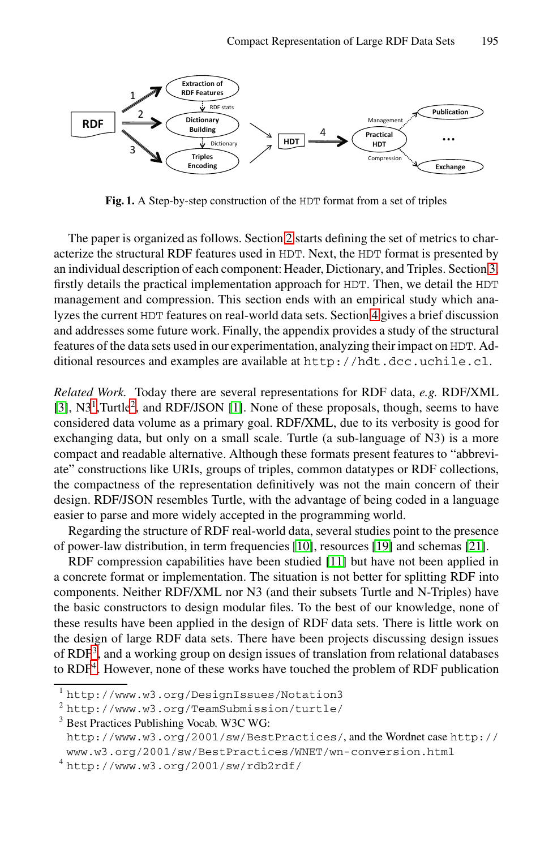

**Fig. 1.** A Step-by-step constructio[n](#page-12-0) [o](#page-12-0)f the HDT format from a set of triples

The paper is organized as follows. Section 2 starts defining the set of metrics to characterize the structural RDF features used in HDT. Next, the HDT format is presented by an individual description of each component: Header, Dictionary, and Triples. Section 3, firstly details [the](#page-13-0) practical implementation approach for HDT. Then, we detail the HDT management and compression. This section ends with an empirical study which analyzes the current HDT features on real-world data sets. Section 4 gives a brief discussion and addresses some future work. Finally, the appendix provides a study of the structural features of the data sets used in our experimentation, analyzing their impact on HDT. Additional resources and examples are available at http://hdt.dcc.uchile.cl.

*Related Work.* Today there are several representations for RDF data, *e.g.* RDF/XML [3], N3<sup>1</sup>,Turtle<sup>2</sup>, and RDF/JSON [1]. None of these proposals, though, seems to have considered data volume a[s a p](#page-13-1)rimary goa[l. R](#page-14-0)DF/XML, due [to i](#page-14-1)ts verbosity is good for exchanging data, but only on a [sma](#page-13-2)ll scale. Turtle (a sub-language of N3) is a more compact and readable alternative. Although these formats present features to "abbreviate" constructions like URIs, groups of triples, common datatypes or RDF collections, the compactness of the representation definitively was not the main concern of their design. RDF/JSON resembles Turtle, with the advantage of being coded in a language easier to parse and more widely accepted in the programming world.

Regarding the structure of RDF real-world data, several studies point to the presence of power-law distribution, in term frequencies [10], resources [19] and schemas [21].

RDF compression capabilities have been studied [11] but have not been applied in [a concrete format or implementation](http://www.w3.org/DesignIssues/Notation3). The situation is not better for splitting RDF into [components. Neither RDF/XML nor](http://www.w3.org/TeamSubmission/turtle/) N3 (and their subsets Turtle and N-Triples) have the basic constructors to design modular files. To the best of our knowledge, none of [these](http://www.w3.org/2001/sw/BestPractices/) [results](http://www.w3.org/2001/sw/BestPractices/) [have](http://www.w3.org/2001/sw/BestPractices/) [been](http://www.w3.org/2001/sw/BestPractices/) [applied](http://www.w3.org/2001/sw/BestPractices/) [in](http://www.w3.org/2001/sw/BestPractices/) [th](http://www.w3.org/2001/sw/BestPractices/)e design of RDF d[ata](http://www.w3.org/2001/sw/BestPractices/WNET/wn-conversion.html) [sets.](http://www.w3.org/2001/sw/BestPractices/WNET/wn-conversion.html) [Th](http://www.w3.org/2001/sw/BestPractices/WNET/wn-conversion.html)ere is little work on [the](http://www.w3.org/2001/sw/BestPractices/WNET/wn-conversion.html) [design](http://www.w3.org/2001/sw/BestPractices/WNET/wn-conversion.html) [of](http://www.w3.org/2001/sw/BestPractices/WNET/wn-conversion.html) [large](http://www.w3.org/2001/sw/BestPractices/WNET/wn-conversion.html) [RDF](http://www.w3.org/2001/sw/BestPractices/WNET/wn-conversion.html) [data](http://www.w3.org/2001/sw/BestPractices/WNET/wn-conversion.html) [sets.](http://www.w3.org/2001/sw/BestPractices/WNET/wn-conversion.html) [There](http://www.w3.org/2001/sw/BestPractices/WNET/wn-conversion.html) [have](http://www.w3.org/2001/sw/BestPractices/WNET/wn-conversion.html) [been](http://www.w3.org/2001/sw/BestPractices/WNET/wn-conversion.html) [proje](http://www.w3.org/2001/sw/BestPractices/WNET/wn-conversion.html)cts discussing design issues [of](http://www.w3.org/2001/sw/rdb2rdf/)  $RDF<sup>3</sup>$ , [and](http://www.w3.org/2001/sw/rdb2rdf/) [a](http://www.w3.org/2001/sw/rdb2rdf/) [working](http://www.w3.org/2001/sw/rdb2rdf/) [grou](http://www.w3.org/2001/sw/rdb2rdf/)p on design issues of translation from relational databases to RDF<sup>4</sup>. However, none of these works have touched the problem of RDF publication

<sup>1</sup> http://www.w3.org/DesignIssues/Notation3

<sup>2</sup> http://www.w3.org/TeamSubmission/turtle/

<sup>3</sup> Best Practices Publishing Vocab. W3C WG:

http://www.w3.org/2001/sw/BestPractices/, and the Wordnet case http:// www.w3.org/2001/sw/BestPractices/WNET/wn-conversion.html

<sup>4</sup> http://www.w3.org/2001/sw/rdb2rdf/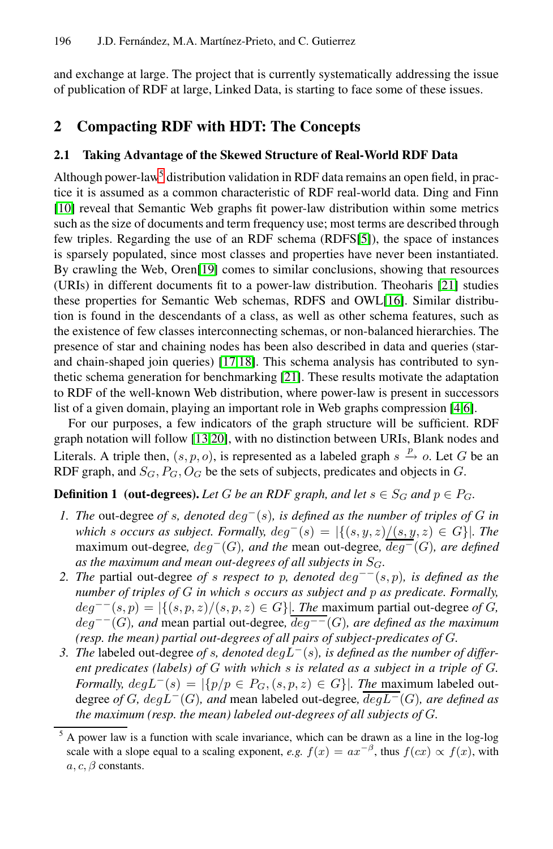<span id="page-3-1"></span><span id="page-3-0"></span>and exchange at large. The project that is currently systematically addressing the issue of publication of RDF at large, Linked Data, is starting to face some of these issues.

# **2 Compacting RDF with HD[T:](#page-13-3) The Concepts**

### **2.1 T[akin](#page-14-0)g Advantage of the Skewed Structure of [Re](#page-14-1)al-World RDF Data**

Although power-law<sup>5</sup> distribution validation [in R](#page-14-2)DF data remains an open field, in practice it is assumed as a common characteristic of RDF real-world data. Ding and Finn [10] reveal that Semantic Web graphs fit power-law distribution within some metrics such as the size of documents and term frequency use; most terms are described through few triples. [Re](#page-14-3)[gar](#page-14-4)ding the use of an RDF schema (RDFS[5]), the space of instances is sparsely populated, s[ince](#page-14-1) most classes and properties have never been instantiated. By crawling the Web, Oren[19] comes to similar conclusions, showing that resources (URIs) in different documents fit to a power-law distri[bu](#page-13-4)[tio](#page-13-5)n. Theoharis [21] studies these properties for Semantic Web schemas, RDFS and OWL[16]. Similar distribution is [fo](#page-13-6)[und](#page-14-5) in the descendants of a class, as well as other schema features, such as the existence of few classes interconnecting schemas, or non-balanced hierarchies. The presence of star and chaining nodes has been also described in data and queries (starand chain-shaped join queries) [17,18]. This schema analysis has contributed to synthetic schema generation for benchmarking [21]. These results motivate the adaptation to RDF of the well-known Web distribution, where power-law is present in successors list of a given domain, playing an important role in Web graphs compression [4,6].

For our purposes, a few indicators of the graph structure will be sufficient. RDF graph notation will follow [13,20], with no distinction between URIs, Blank nodes and Literals. A triple then,  $(s, p, o)$ , is represented as a labeled graph  $s \stackrel{p}{\to} o$ . Let G be an RDF graph, and S*G*, P*G*, O*<sup>G</sup>* be the sets of subjects, predicates and objects in G.

**Definition 1 (out-degrees).** *Let* G *be an RDF graph, and let*  $s \in S_G$  *and*  $p \in P_G$ *.* 

- *1. The* out-degree *of* <sup>s</sup>*, denoted* deg<sup>−</sup>(s)*, is defined as the number of triples of* <sup>G</sup> *in which* s *occurs as subject. Formally,*  $deg^{-}(s) = |\{(s, y, z) / (s, y, z) \in G\}|$ *. The* maximum out-degree*,* deg<sup>−</sup>(G)*, and the* mean out-degree*,* deg<sup>−</sup>(G)*, are defined as the maximum and mean out-degrees of all subjects in* S*G.*
- *2. The* partial out-degree *of* <sup>s</sup> *respect to* <sup>p</sup>*, denoted* deg−−(s, p)*, is defined as the number of triples of* G *in which* s *occurs as subject and* p *as predicate. Formally,*  $deg^{--}(s,p) = |\{(s, p, z)/(s, p, z) \in G\}|$ *. The maximum partial out-degree of G*, deg−−(G)*, and* mean partial out-degree*,* deg−−(G)*, are defined as the maximum (resp. the mean) partial out-degrees of all pairs of subject-predicates of* G*.*
- *3. The* labeled out-degree *of* <sup>s</sup>*, denoted* degL<sup>−</sup>(s)*, is defined as the number of different predicates (labels) of* G *with which* s *is related as a subject in a triple of* G*. Formally,*  $degL^{-}(s) = |\{p/p \in P_{G}, (s, p, z) \in G\}|$ *. <i>The* maximum labeled outdegree *of* <sup>G</sup>*,* degL<sup>−</sup>(G)*, and* mean labeled out-degree*,* degL<sup>−</sup>(G)*, are defined as the maximum (resp. the mean) labeled out-degrees of all subjects of* G*.*

 $<sup>5</sup>$  A power law is a function with scale invariance, which can be drawn as a line in the log-log</sup> scale with a slope equal to a scaling exponent, *e.g.*  $f(x) = ax^{-\beta}$ , thus  $f(cx) \propto f(x)$ , with  $a, c, \beta$  constants.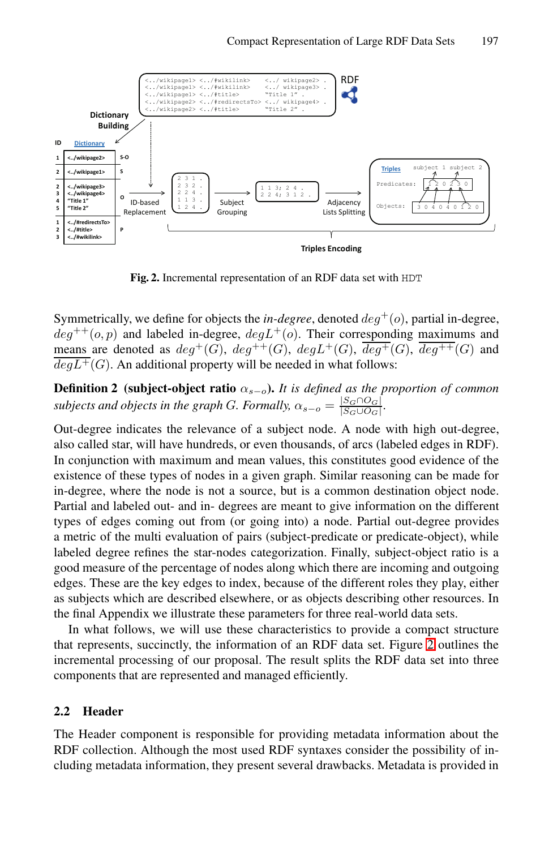

<span id="page-4-0"></span>**Fig. 2.** Incremental representation of an RDF data set with HDT

Symmetrically, we define for objects the *in-degree*, denoted  $deg^+(o)$ , partial in-degree,  $deg^{++}(o, p)$  and labeled in-degree,  $degL^+(o)$ . Their corresponding maximums and means are denoted as  $deg^+(G)$ ,  $deg^{++}(G)$ ,  $deg^+(G)$ ,  $\overline{deg^+(G)}$ ,  $\overline{deg^{++}}(G)$  and  $\overline{degL^{+}}(G)$ . An additional property will be needed in what follows:

**Definition 2 (subject-object ratio** α*<sup>s</sup>*−*<sup>o</sup>***).** *It is defined as the proportion of common subjects and objects in the graph G. Formally,*  $\alpha_{s-o} = \frac{|S_G \cap O_G|}{|S_G \cup O_G|}$ *.* 

Out-degree indicates the relevance of a subject node. A node with high out-degree, also called star, will have hundreds, or even thousands, of arcs (labeled edges in RDF). In conjunction with maximum and mean values, this constitutes good evidence of the existence of these types of nodes in a given graph. Similar reasoning can be made for in-degree, where the node is not a source, but is a common destination object node. Partial and labeled out- and in- degrees are meant to give information on the different types of edges coming out from (or going into) a [n](#page-4-0)ode. Partial out-degree provides a metric of the multi evaluation of pairs (subject-predicate or predicate-object), while labeled degree refines the star-nodes categorization. Finally, subject-object ratio is a good measure of the percentage of nodes along which there are incoming and outgoing edges. These are the key edges to index, because of the different roles they play, either as subjects which are described elsewhere, or as objects describing other resources. In the final Appendix we illustrate these parameters for three real-world data sets.

In what follows, we will use these characteristics to provide a compact structure that represents, succinctly, the information of an RDF data set. Figure 2 outlines the incremental processing of our proposal. The result splits the RDF data set into three components that are represented and managed efficiently.

### **2.2 Header**

The Header component is responsible for providing metadata information about the RDF collection. Although the most used RDF syntaxes consider the possibility of including metadata information, they present several drawbacks. Metadata is provided in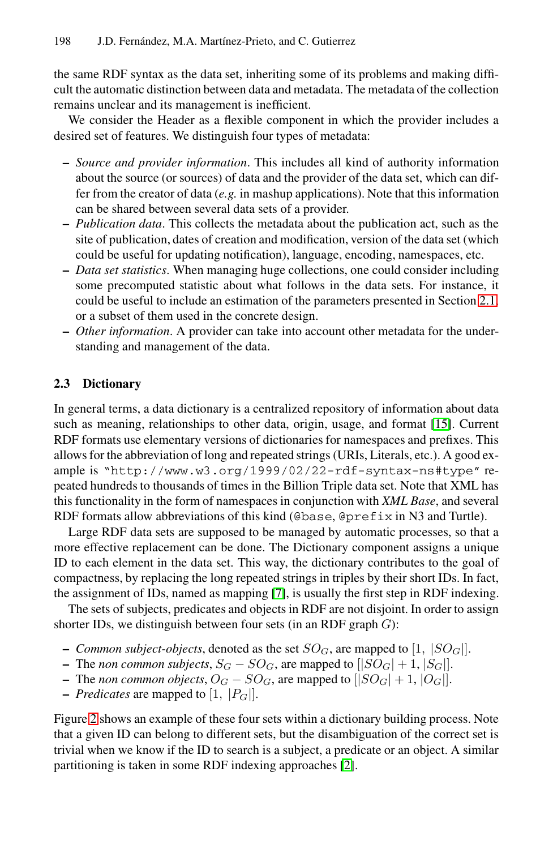the same RDF syntax as the data set, inheriting some of its problems and making difficult the automatic distinction between data and metadata. The metadata of the collection remains unclear and its management is inefficient.

We consider the Header as a flexible component in which the provider includes a desired set of features. We distinguish four types of metadata:

- **–** *Source and provider information*. This includes all kind of authority information about the source (or sources) of data and the provider of th[e da](#page-3-1)ta set, which can differ from the creator of data (*e.g.* in mashup applications). Note that this information can be shared between several data sets of a provider.
- **–** *Publication data*. This collects the metadata about the publication act, such as the site of publication, dates of creation and modification, version of the data set (which could be useful for updating notification), language, encoding, namespaces, etc.
- **–** *Data set statistics*. When managing huge collections, one could consider including some precomputed statistic about what follows in the data sets. For instance, it could be useful to include an estimation of the pa[ram](#page-14-6)eters presented in Section 2.1, or a subset of them used in the concrete design.
- **–** *Other information*. A provider can take into account other metadata for the understanding and management of the data.

# **2.3 Dictionary**

In general terms, a data dictionary is a centralized repository of information about data such as meaning, relationships to other data, origin, usage, and format [15]. Current RDF formats use elementary versions of dictionaries for namespaces and prefixes. This allows for the abbreviation of long and repeated strings (URIs, Literals, etc.). A good example is "http://[ww](#page-13-7)w.w3.org/1999/02/22-rdf-syntax-ns#type" repeated hundreds to thousands of times in the Billion Triple data set. Note that XML has this functionality in the form of namespaces in conjunction with *XML Base*, and several RDF formats allow abbreviations of this kind (@base, @prefix in N3 and Turtle).

Large RDF data sets are supposed to be managed by automatic processes, so that a more effective replacement can be done. The Dictionary component assigns a unique ID to each element in the data set. This way, the dictionary contributes to the goal of compactness, by replacing the long repeated strings in triples by their short IDs. In fact, the assignment of IDs, named as mapping [7], is usually the first step in RDF indexing.

The sets of subjects, predicates and objects in RDF are not disjoint. In order to assign shorter IDs, we distinguish between four sets (in an RDF graph  $G$ ):

- **–** *Common subject-objects*, deno[ted](#page-13-8) as the set  $SO_G$ , are mapped to [1,  $|SO_G|$ ].
- **−** The *non common subjects*,  $S_G$  −  $SO_G$ , are mapped to  $[|SO_G|+1, |S_G|]$ .
- **−** The *non common objects*,  $O_G$  −  $SO_G$ , are mapped to  $[|SO_G|+1, |O_G|]$ .
- **–** *Predicates* are mapped to [1, <sup>|</sup>P*G*|].

Figure 2 shows an example of these four sets within a dictionary building process. Note that a given ID can belong to different sets, but the disambiguation of the correct set is trivial when we know if the ID to search is a subject, a predicate or an object. A similar partitioning is taken in some RDF indexing approaches [2].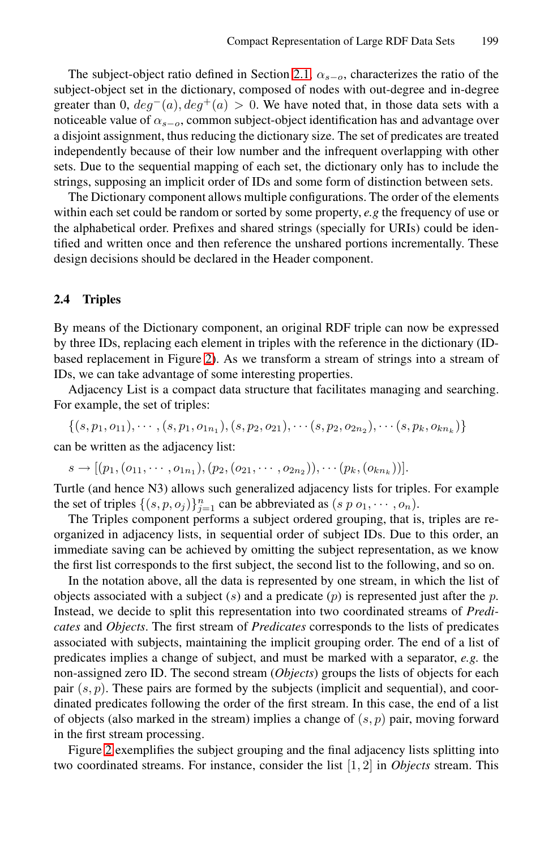The subject-object ratio defined in Section 2.1, α*s*−*o*, characterizes the ratio of the subject-object set in the dictionary, composed of nodes with out-degree and in-degree greater than 0,  $deg^-(a)$ ,  $deg^+(a) > 0$ . We have noted that, in those data sets with a noticeable value of α*s*−*o*, common subject-object identification has and advantage over a disjoint assignment, thus reducing the dictionary size. The set of predicates are treated independently because of their low number and the infrequent overlapping with other sets. Due to the sequential mapping of each set, the dictionary only has to include the strings, supposing an implicit order of IDs and some form of distinction between sets.

The Dictionary component allows multiple configurations. The order of the elements within each set could be random or sorted by some property, *e.g* the frequency of use or the alphabetical order. Prefixes and shared strings (specially for URIs) could be identified an[d](#page-4-0) [w](#page-4-0)ritten once and then reference the unshared portions incrementally. These design decisions should be declared in the Header component.

### **2.4 Triples**

By means of the Dictionary component, an original RDF triple can now be expressed by three IDs, replacing each element in triples with the reference in the dictionary (IDbased replacement in Figure 2). As we transform a stream of strings into a stream of IDs, we can take advantage of some interesting properties.

Adjacency List is a compact data structure that facilitates managing and searching. For example, the set of triples:

$$
\{(s, p_1, o_{11}), \cdots, (s, p_1, o_{1n_1}), (s, p_2, o_{21}), \cdots (s, p_2, o_{2n_2}), \cdots (s, p_k, o_{kn_k})\}
$$

can be written as the adjacency list:

$$
s \to [(p_1, (o_{11}, \cdots, o_{1n_1}), (p_2, (o_{21}, \cdots, o_{2n_2})), \cdots (p_k, (o_{kn_k}))].
$$

Turtle (and hence N3) allows such generalized adjacency lists for triples. For example the set of triples  $\{(s, p, o_j)\}_{j=1}^n$  can be abbreviated as  $(s p o_1, \dots, o_n)$ .<br>The Triples component performs a subject ordered grouping that is

The Triples component performs a subject ordered grouping, that is, triples are reorganized in adjacency lists, in sequential order of subject IDs. Due to this order, an immediate saving can be achieved by omitting the subject representation, as we know the first list corresponds to the first subject, the second list to the following, and so on.

In the notation above, all the data is represented by one stream, in which the list of objects associated with a subject (s) and a predicate (p) is represented just after the p. Instead, we decide to split this representation into two coordinated streams of *Predicates* and *Objects*. The first stream of *Predicates* corresponds to the lists of predicates associated with subjects, maintaining the implicit grouping order. The end of a list of predicates implies a change of subject, and must be marked with a separator, *e.g.* the non-assigned zero ID. The second stream (*Objects*) groups the lists of objects for each pair  $(s, p)$ . These pairs are formed by the subjects (implicit and sequential), and coordinated predicates following the order of the first stream. In this case, the end of a list of objects (also marked in the stream) implies a change of  $(s, p)$  pair, moving forward in the first stream processing.

Figure 2 exemplifies the subject grouping and the final adjacency lists splitting into two coordinated streams. For instance, consider the list [1, 2] in *Objects* stream. This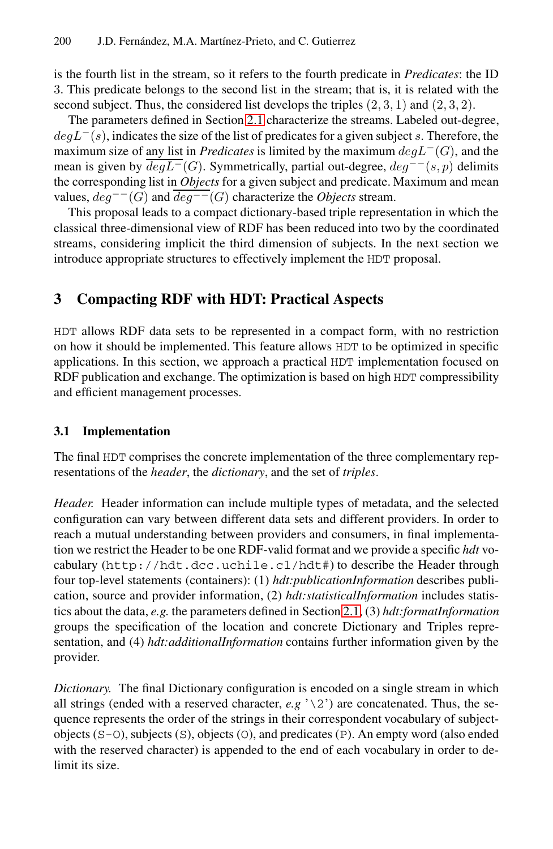is the fourth list in the stream, so it refers to the fourth predicate in *Predicates*: the ID 3. This predicate belongs to the second list in the stream; that is, it is related with the second subject. Thus, the considered list develops the triples  $(2, 3, 1)$  and  $(2, 3, 2)$ .

<span id="page-7-0"></span>The parameters defined in Section 2.1 characterize the streams. Labeled out-degree,  $deqL^{-}(s)$ , indicates the size of the list of predicates for a given subject s. Therefore, the maximum size of any list in *Predicates* is limited by the maximum degL−(G), and the mean is given by  $deqL^{-}(G)$ . Symmetrically, partial out-degree,  $deq^{-}(s, p)$  delimits the corresponding list in *Objects* for a given subject and predicate. Maximum and mean values,  $deg^{--}(G)$  and  $\overline{deg^{--}}(G)$  characterize the *Objects* stream.

This proposal leads to a compact dictionary-based triple representation in which the classical three-dimensional view of RDF has been reduced into two by the coordinated streams, considering implicit the third dimension of subjects. In the next section we introduce appropriate structures to effectively implement the HDT proposal.

# **3 Compacting RDF with HDT: Practical Aspects**

HDT allows RDF data sets to be represented in a compact form, with no restriction on how it should be implemented. This feature allows HDT to be optimized in specific applications. In this section, we approach a practical HDT implementation focused on RDF publication and exchange. The optimization is based on high HDT compressibility and efficient management processes.

### **3.1 Implementation**

The final HDT comprises the concrete implementation of the three complementary representations of the *header*, the *dictionary*, and the set of *triples*.

*Header.* Header information can i[nclu](#page-3-1)de multiple types of metadata, and the selected configuration can vary between different data sets and different providers. In order to reach a mutual understanding between providers and consumers, in final implementation we restrict the Header to be one RDF-valid format and we provide a specific *hdt* vocabulary (http://hdt.dcc.uchile.cl/hdt#) to describe the Header through four top-level statements (containers): (1) *hdt:publicationInformation* describes publication, source and provider information, (2) *hdt:statisticalInformation* includes statistics about the data, *e.g.* the parameters defined in Section 2.1, (3) *hdt:formatInformation* groups the specification of the location and concrete Dictionary and Triples representation, and (4) *hdt:additionalInformation* contains further information given by the provider.

*Dictionary.* The final Dictionary configuration is encoded on a single stream in which all strings (ended with a reserved character,  $e.g$  '\2') are concatenated. Thus, the sequence represents the order of the strings in their correspondent vocabulary of subjectobjects  $(S-O)$ , subjects  $(S)$ , objects  $(O)$ , and predicates  $(P)$ . An empty word (also ended with the reserved character) is appended to the end of each vocabulary in order to delimit its size.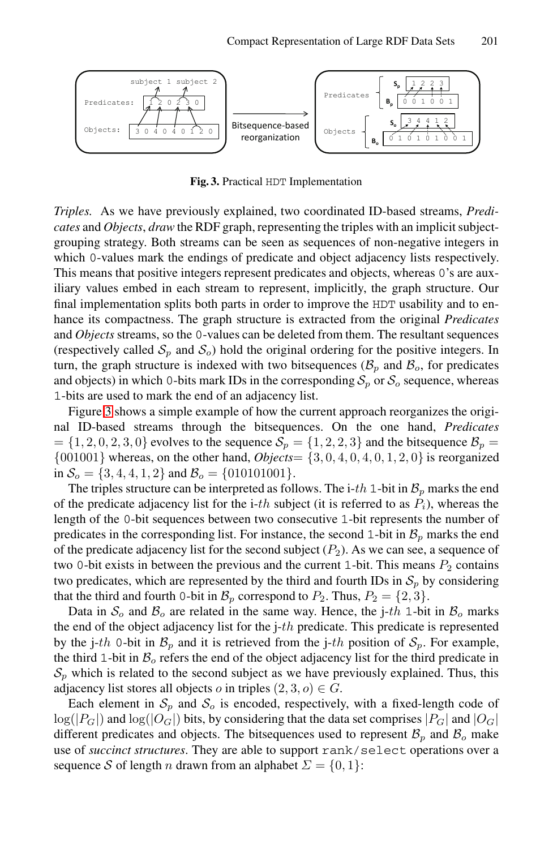

**Fig. 3.** Practical HDT Implementation

*Triples.* As we have previously explained, two coordinated ID-based streams, *Predicates* and *Objects*, *draw* the RDF graph, representing the triples with an implicit subjectgrouping strategy. Both streams can be seen as sequences of non-negative integers in which 0-values mark the endings of predicate and object adjacency lists respectively. This means that positive integers represent predicates and objects, whereas 0's are auxiliary values embed in each stream to represent, implicitly, the graph structure. Our final implementation splits both parts in order to improve the HDT usability and to enhance its compactness. The graph structure is extracted from the original *Predicates* and *Objects* streams, so the 0-values can be deleted from them. The resultant sequences (respectively called  $S_p$  and  $S_o$ ) hold the original ordering for the positive integers. In turn, the graph structure is indexed with two bitsequences ( $\mathcal{B}_p$  and  $\mathcal{B}_o$ , for predicates and objects) in which 0-bits mark IDs in the corresponding  $S_p$  or  $S_o$  sequence, whereas 1-bits are used to mark the end of an adjacency list.

Figure 3 shows a simple example of how the current approach reorganizes the original ID-based streams through the bitsequences. On the one hand, *Predicates*  $= \{1, 2, 0, 2, 3, 0\}$  evolves to the sequence  $S_p = \{1, 2, 2, 3\}$  and the bitsequence  $\mathcal{B}_p =$  ${001001}$  whereas, on the other hand, *Objects* =  ${3, 0, 4, 0, 4, 0, 1, 2, 0}$  is reorganized in  $S_o = \{3, 4, 4, 1, 2\}$  and  $B_o = \{010101001\}.$ 

The triples structure can be interpreted as follows. The i-th 1-bit in  $\mathcal{B}_p$  marks the end of the predicate adjacency list for the i-th subject (it is referred to as  $P_i$ ), whereas the length of the 0-bit sequences between two consecutive 1-bit represents the number of predicates in the corresponding list. For instance, the second 1-bit in  $B_p$  marks the end of the predicate adjacency list for the second subject  $(P_2)$ . As we can see, a sequence of two 0-bit exists in between the previous and the current 1-bit. This means  $P_2$  contains two predicates, which are represented by the third and fourth IDs in  $S_p$  by considering that the third and fourth 0-bit in  $\mathcal{B}_p$  correspond to  $P_2$ . Thus,  $P_2 = \{2, 3\}$ .

Data in  $S_o$  and  $B_o$  are related in the same way. Hence, the j-th 1-bit in  $B_o$  marks the end of the object adjacency list for the  $j-th$  predicate. This predicate is represented by the j-th 0-bit in  $\mathcal{B}_p$  and it is retrieved from the j-th position of  $\mathcal{S}_p$ . For example, the third 1-bit in  $\mathcal{B}_o$  refers the end of the object adjacency list for the third predicate in  $S_p$  which is related to the second subject as we have previously explained. Thus, this adjacency list stores all objects *o* in triples  $(2, 3, o) \in G$ .

Each element in  $S_p$  and  $S_o$  is encoded, respectively, with a fixed-length code of  $log(|P_G|)$  and  $log(|O_G|)$  bits, by considering that the data set comprises  $|P_G|$  and  $|O_G|$ different predicates and objects. The bitsequences used to represent  $B_p$  and  $B_o$  make use of *succinct structures*. They are able to support rank/select operations over a sequence S of length n drawn from an alphabet  $\Sigma = \{0, 1\}$ :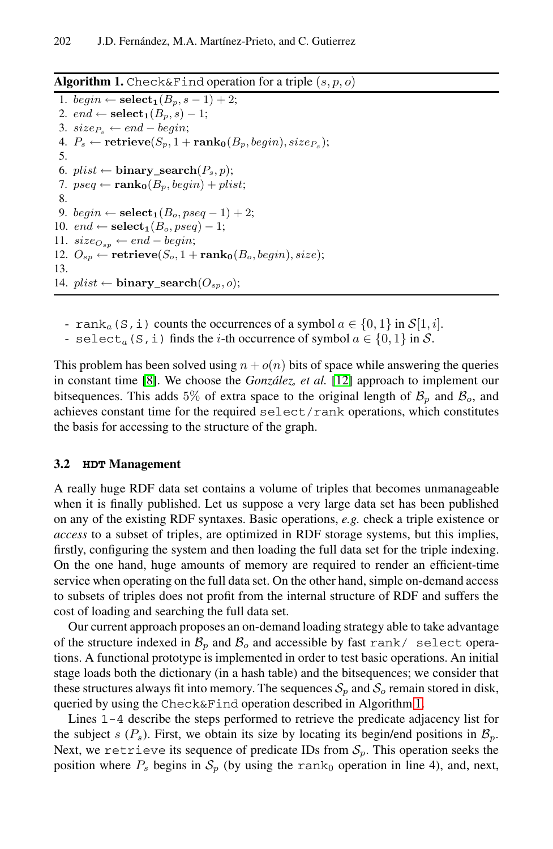<span id="page-9-0"></span>**Algorithm 1.** Check&Find operation for a triple  $(s, p, o)$ 

1. begin  $\leftarrow$  **select**<sub>1</sub>( $B_p$ ,  $s - 1$ ) + 2; 2.  $end \leftarrow \textbf{select}_1(B_p, s) - 1;$ 3.  $size_{P_s} \leftarrow end - begin;$ 4.  $P_s \leftarrow \textbf{retrieve}(S_p, 1 + \textbf{rank}_{\textbf{0}}(B_p, begin), size_{P_s});$ 5. 6.  $plist \leftarrow \text{binary\_search}(P_s, p);$ 7.  $pseq \leftarrow \textbf{rank}_{\mathbf{0}}(B_p, begin) + plist;$ 8. 9. begin ←  $\text{select}_1(B_o, pseq - 1) + 2;$ 10.  $end \leftarrow \textbf{select}_1(B_o, pseq) - 1;$ 11. size<sub>Osv</sub> ← end – begin; 12.  $O_{sp} \leftarrow$  **retrieve** $(S_o, 1 + \text{rank}_0(B_o, begin), size);$  $(S_o, 1 + \text{rank}_0(B_o, begin), size);$  $(S_o, 1 + \text{rank}_0(B_o, begin), size);$ 13. 14.  $plist \leftarrow \text{binary\_search}(O_{sp}, o);$ 

- rank<sub>a</sub>(S, i) counts the occurrences of a symbol  $a \in \{0, 1\}$  in  $\mathcal{S}[1, i]$ .

- select<sub>a</sub>(S, i) finds the *i*-th occurrence of symbol  $a \in \{0, 1\}$  in S.

This problem has been solved using  $n + o(n)$  bits of space while answering the queries in constant time [8]. We choose the *González, et al.* [12] approach to implement our bitsequences. This adds 5% of extra space to the original length of  $\mathcal{B}_p$  and  $\mathcal{B}_o$ , and achieves constant time for the required select/rank operations, which constitutes the basis for accessing to the structure of the graph.

### **3.2 HDT Management**

A really huge RDF data set contains a volume of triples that becomes unmanageable when it is finally published. Let us suppose a very large data set has been published on any of the existing RDF syntaxes. Basic operations, *e.g.* check a triple existence or *access* to a subset of triples, are optimized in RDF storage systems, but this implies, firstly, configuring the system and then loading the full data set for the triple indexing. On the one hand, huge amounts of memory are required to render an efficient-time service when operating on the full data set. On the [ot](#page-9-0)her hand, simple on-demand access to subsets of triples does not profit from the internal structure of RDF and suffers the cost of loading and searching the full data set.

Our current approach proposes an on-demand loading strategy able to take advantage of the structure indexed in  $\mathcal{B}_p$  and  $\mathcal{B}_o$  and accessible by fast rank/ select operations. A functional prototype is implemented in order to test basic operations. An initial stage loads both the dictionary (in a hash table) and the bitsequences; we consider that these structures always fit into memory. The sequences  $S_p$  and  $S_o$  remain stored in disk, queried by using the Check&Find operation described in Algorithm 1.

Lines 1-4 describe the steps performed to retrieve the predicate adjacency list for the subject s ( $P_s$ ). First, we obtain its size by locating its begin/end positions in  $B_p$ . Next, we retrieve its sequence of predicate IDs from  $S_p$ . This operation seeks the position where  $P_s$  begins in  $S_p$  (by using the rank<sub>0</sub> operation in line 4), and, next,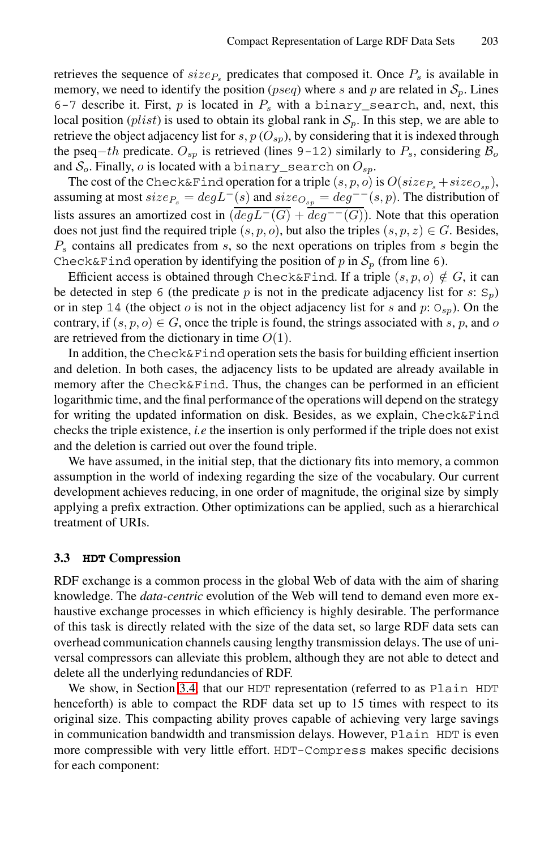retrieves the sequence of  $sizeP<sub>s</sub>$  predicates that composed it. Once  $P<sub>s</sub>$  is available in memory, we need to identify the position (*pseq*) where s and p are related in  $S_p$ . Lines 6-7 describe it. First,  $p$  is located in  $P_s$  with a binary\_search, and, next, this local position (*plist*) is used to obtain its global rank in  $S_p$ . In this step, we are able to retrieve the object adjacency list for  $s, p(O_{sp})$ , by considering that it is indexed through the pseq−th predicate. O*sp* is retrieved (lines 9-12) similarly to P*s*, considering B*<sup>o</sup>* and  $S_o$ . Finally,  $o$  is located with a binary\_search on  $O_{sp}$ .

The cost of the Check&Find operation for a triple  $(s, p, o)$  is  $O(size_{P_s} + size_{O_{sp}})$ , assuming at most  $size_{P_s} = degL^-(s)$  and  $size_{O_{sp}} = deg^{--}(s, p)$ . The distribution of lists assures an amortized cost in  $(deg - (G) + deg^{--}(G))$ . Note that this operation does not just find the required triple  $(e, n, o)$  but also the triples  $(e, n, o) \in G$ . Besides does not just find the required triple  $(s, p, o)$ , but also the triples  $(s, p, z) \in G$ . Besides,  $P<sub>s</sub>$  contains all predicates from  $s$ , so the next operations on triples from  $s$  begin the Check&Find operation by identifying the position of p in  $S_p$  (from line 6).

Efficient access is obtained through Check&Find. If a triple  $(s, p, o) \notin G$ , it can be detected in step 6 (the predicate p is not in the predicate adjacency list for s:  $S_p$ ) or in step 14 (the object  $o$  is not in the object adjacency list for s and  $p: O_{\text{sp}}$ ). On the contrary, if  $(s, p, o) \in G$ , once the triple is found, the strings associated with s, p, and o are retrieved from the dictionary in time  $O(1)$ .

In addition, the Check&Find operation sets the basis for building efficient insertion and deletion. In both cases, the adjacency lists to be updated are already available in memory after the Check&Find. Thus, the changes can be performed in an efficient logarithmic time, and the final performance of the operations will depend on the strategy for writing the updated information on disk. Besides, as we explain, Check&Find checks the triple existence, *i.e* the insertion is only performed if the triple does not exist and the deletion is carried out over the found triple.

We have assumed, in the initial step, that the dictionary fits into memory, a common assumption in the world of indexing regarding the size of the vocabulary. Our current development achieves reducing, in one order of magnitude, the original size by simply applying a prefix extraction. Other optimizations can be applied, such as a hierarchical treatment of URIs.

### **3.3 HDT Compression**

R[DF](#page-11-0) [ex](#page-11-0)change is a common process in the global Web of data with the aim of sharing knowledge. The *data-centric* evolution of the Web will tend to demand even more exhaustive exchange processes in which efficiency is highly desirable. The performance of this task is directly related with the size of the data set, so large RDF data sets can overhead communication channels causing lengthy transmission delays. The use of universal compressors can alleviate this problem, although they are not able to detect and delete all the underlying redundancies of RDF.

We show, in Section 3.4, that our HDT representation (referred to as Plain HDT henceforth) is able to compact the RDF data set up to 15 times with respect to its original size. This compacting ability proves capable of achieving very large savings in communication bandwidth and transmission delays. However, Plain HDT is even more compressible with very little effort. HDT-Compress makes specific decisions for each component: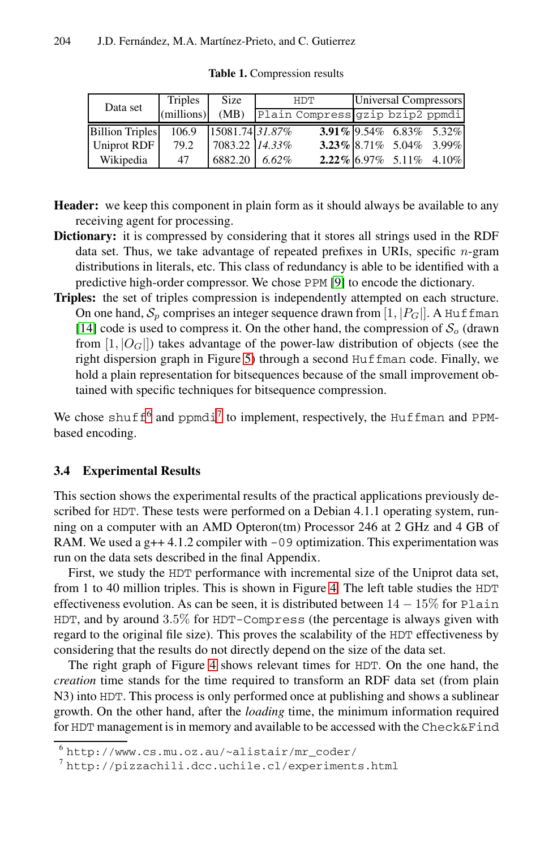| Data set               | Triples    | <b>Size</b>           |  | <b>HDT</b>                      | Universal Compressors |  |                            |
|------------------------|------------|-----------------------|--|---------------------------------|-----------------------|--|----------------------------|
|                        | (millions) | (MB)                  |  | Plain Compress gzip bzip2 ppmdi |                       |  |                            |
| <b>Billion Triples</b> |            | 106.9 15081.74 31.87% |  |                                 |                       |  | 3.91% 9.54% 6.83% 5.32%    |
| Uniprot RDF            | 79.2       | 7083.22 14.33%        |  |                                 |                       |  | 3.23% 8.71% 5.04% 3.99%    |
| Wikipedia              | 47         | 6882.20 6.62%         |  |                                 |                       |  | $2.22\%$ 6.97% 5.11% 4.10% |

**Table 1.** Compression results

**Header:** we keep this component in plain form as it should always be available to any receiving agent for processing.

- **Dictionary:** it [is](#page-15-1) compressed by considering that it stores all strings used in the RDF data set. Thus, we take advantage of repeated prefixes in URIs, specific  $n$ -gram distributions in literals, etc. This class of redundancy is able to be identified with a predictive high-order compressor. We chose PPM [9] to encode the dictionary.
- <span id="page-11-0"></span>**Triples:** t[he](#page-11-1) set of triples compression is independently attempted on each structure. On one hand,  $S_p$  comprises an integer sequence drawn from [1, | $P_G$ ]. A Huffman [14] code is used to compress it. On the other hand, the compression of  $S<sub>o</sub>$  (drawn from  $[1, |O_G|]$ ) takes advantage of the power-law distribution of objects (see the right dispersion graph in Figure 5) through a second Huffman code. Finally, we hold a plain representation for bitsequences because of the small improvement obtained with specific techniques for bitsequence compression.

We chose shuff<sup>6</sup> and ppmdi<sup>7</sup> to implement, respectively, the Huffman and PPMbased encoding.

#### **3.4 Experimental Results**

This section shows the experimental results of the practical applications previously described for HDT. These tests were performed on a Debian 4.1.1 operating system, running on a computer with an AMD Opteron(tm) Processor 246 at 2 GHz and 4 GB of RAM. W[e u](#page-12-1)sed a  $g++ 4.1.2$  compiler with  $-09$  optimization. This experimentation was run on the data sets described in the final Appendix.

First, we study the HDT performance with incremental size of the Uniprot data set, from 1 to 40 million triples. This is shown in Figure 4. The left table studies the HDT effectiveness evolution. As can be seen, it is distributed between  $14 - 15\%$  for Plain HDT, and by around 3.5% for HDT-Compress (the percentage is always given with [regard to the original file size\). This pr](http://www.cs.mu.oz.au/~alistair/mr_coder/)oves the scalability of the HDT effectiveness by [considering that the results do not directly depe](http://pizzachili.dcc.uchile.cl/experiments.html)nd on the size of the data set.

<span id="page-11-1"></span>The right graph of Figure 4 shows relevant times for HDT. On the one hand, the *creation* time stands for the time required to transform an RDF data set (from plain N3) into HDT. This process is only performed once at publishing and shows a sublinear growth. On the other hand, after the *loading* time, the minimum information required for HDT management is in memory and available to be accessed with the Check&Find

<sup>6</sup> http://www.cs.mu.oz.au/~alistair/mr\_coder/

 $7$ http://pizzachili.dcc.uchile.cl/experiments.html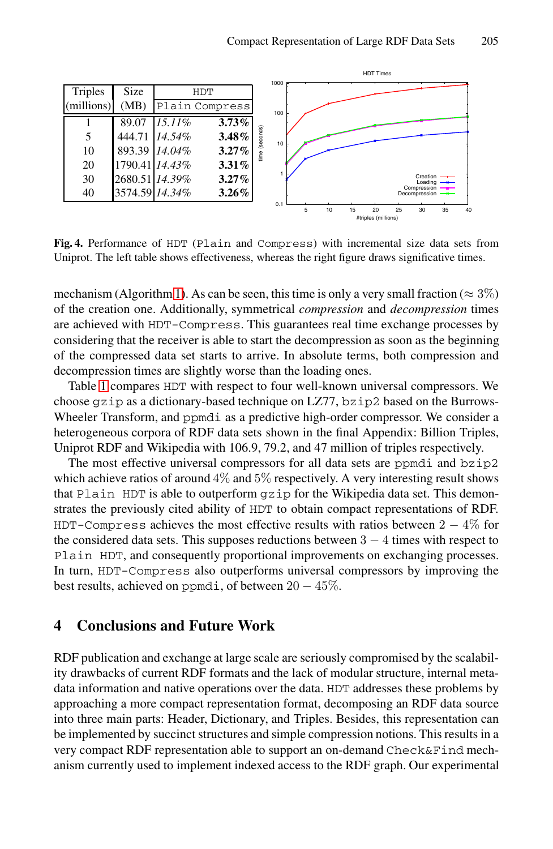<span id="page-12-1"></span>

**Fig. 4.** Performance of HDT (Plain and Compress) with incremental size data sets from Uniprot. The left table shows effectiveness, whereas the right figure draws significative times.

mechanism (Algorithm 1). As can be seen, this time is only a very small fraction ( $\approx 3\%$ ) of the creation one. Additionally, symmetrical *compression* and *decompression* times are achieved with HDT-Compress. This guarantees real time exchange processes by considering that the receiver is able to start the decompression as soon as the beginning of the compressed data set starts to arrive. In absolute terms, both compression and decompression times are slightly worse than the loading ones.

Table 1 compares HDT with respect to four well-known universal compressors. We choose gzip as a dictionary-based technique on LZ77, bzip2 based on the Burrows-Wheeler Transform, and ppmdi as a predictive high-order compressor. We consider a heterogeneous corpora of RDF data sets shown in the final Appendix: Billion Triples, Uniprot RDF and Wikipedia with 106.9, 79.2, and 47 million of triples respectively.

<span id="page-12-0"></span>The most effective universal compressors for all data sets are ppmdi and bzip2 which achieve ratios of around 4% and 5% respectively. A very interesting result shows that Plain HDT is able to outperform gzip for the Wikipedia data set. This demonstrates the previously cited ability of HDT to obtain compact representations of RDF. HDT-Compress achieves the most effective results with ratios between  $2 - 4\%$  for the considered data sets. This supposes reductions between  $3 - 4$  times with respect to Plain HDT, and consequently proportional improvements on exchanging processes. In turn, HDT-Compress also outperforms universal compressors by improving the best results, achieved on ppmdi, of between  $20 - 45\%$ .

# **4 Conclusions and Future Work**

RDF publication and exchange at large scale are seriously compromised by the scalability drawbacks of current RDF formats and the lack of modular structure, internal metadata information and native operations over the data. HDT addresses these problems by approaching a more compact representation format, decomposing an RDF data source into three main parts: Header, Dictionary, and Triples. Besides, this representation can be implemented by succinct structures and simple compression notions. This results in a very compact RDF representation able to support an on-demand Check&Find mechanism currently used to implement indexed access to the RDF graph. Our experimental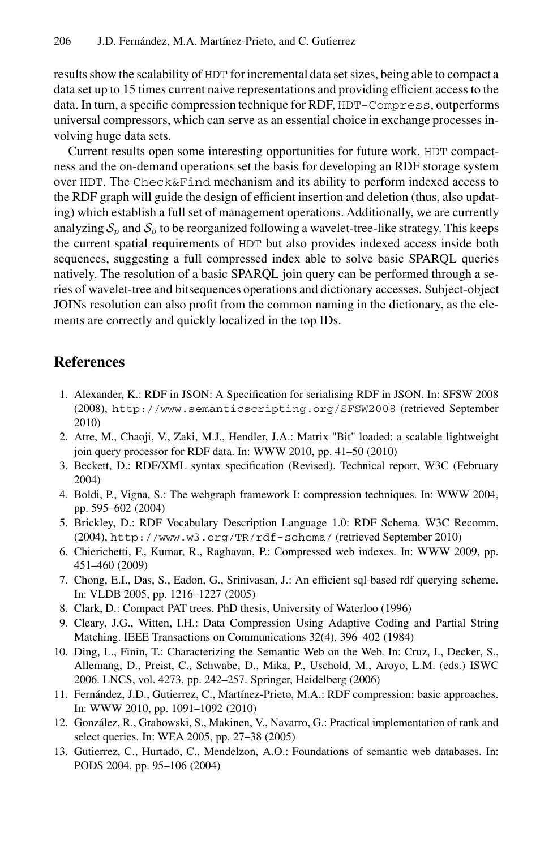results show the scalability of HDT for incremental data set sizes, being able to compact a data set up to 15 times current naive representations and providing efficient access to the data. In turn, a specific compression technique for RDF, HDT-Compress, outperforms universal compressors, which can serve as an essential choice in exchange processes involving huge data sets.

Current results open some interesting opportunities for future work. HDT compactness and the on-demand operations set the basis for developing an RDF storage system over HDT. The Check&Find mechanism and its ability to perform indexed access to the RDF graph will guide the design of efficient insertion and deletion (thus, also updating) which establish a full set of management operations. Additionally, we are currently analyzing  $S_p$  and  $S_o$  to be reorganized following a wavelet-tree-like strategy. This keeps the current spatial requirements of HDT but also provides indexed access inside both sequences, suggesting a full compressed index able to solve basic SPARQL queries natively. The resolution of a basic SPARQL join query can be performed through a se[ries of wavelet-tree and bitsequences operation](http://www.semanticscripting.org/SFSW2008)s and dictionary accesses. Subject-object JOINs resolution can also profit from the common naming in the dictionary, as the elements are correctly and quickly localized in the top IDs.

### <span id="page-13-8"></span><span id="page-13-4"></span><span id="page-13-3"></span><span id="page-13-0"></span>**References**

- 1. Alexander, K.: RDF in JSON: A Specification for serialising RDF in JSON. In: SFSW 2008 (2008), http://www.semanticscripting.org/SFSW2008 (retrieved September [2010\)](http://www.w3.org/TR/rdf-schema/)
- <span id="page-13-7"></span><span id="page-13-5"></span>2. Atre, M., Chaoji, V., Zaki, M.J., Hendler, J.A.: Matrix "Bit" loaded: a scalable lightweight join query processor for RDF data. In: WWW 2010, pp. 41–50 (2010)
- 3. Beckett, D.: RDF/XML syntax specification (Revised). Technical report, W3C (February 2004)
- <span id="page-13-10"></span>4. Boldi, P., Vigna, S.: The webgraph framework I: compression techniques. In: WWW 2004, pp. 595–602 (2004)
- <span id="page-13-1"></span>5. Brickley, D.: RDF Vocabulary Description Language 1.0: RDF Schema. W3C Recomm. (2004), http://www.w3.org/TR/rdf-schema/ (retrieved September 2010)
- <span id="page-13-2"></span>6. Chierichetti, F., Kumar, R., Raghavan, P.: Compressed web indexes. In: WWW 2009, pp. 451–460 (2009)
- <span id="page-13-9"></span>7. Chong, E.I., Das, S., Eadon, G., Srinivasan, J.: An efficient sql-based rdf querying scheme. In: VLDB 2005, pp. 1216–1227 (2005)
- 8. Clark, D.: Compact PAT trees. PhD thesis, University of Waterloo (1996)
- <span id="page-13-6"></span>9. Cleary, J.G., Witten, I.H.: Data Compression Using Adaptive Coding and Partial String Matching. IEEE Transactions on Communications 32(4), 396–402 (1984)
- 10. Ding, L., Finin, T.: Characterizing the Semantic Web on the Web. In: Cruz, I., Decker, S., Allemang, D., Preist, C., Schwabe, D., Mika, P., Uschold, M., Aroyo, L.M. (eds.) ISWC 2006. LNCS, vol. 4273, pp. 242–257. Springer, Heidelberg (2006)
- 11. Fernández, J.D., Gutierrez, C., Martínez-Prieto, M.A.: RDF compression: basic approaches. In: WWW 2010, pp. 1091–1092 (2010)
- 12. González, R., Grabowski, S., Makinen, V., Navarro, G.: Practical implementation of rank and select queries. In: WEA 2005, pp. 27–38 (2005)
- 13. Gutierrez, C., Hurtado, C., Mendelzon, A.O.: Foundations of semantic web databases. In: PODS 2004, pp. 95–106 (2004)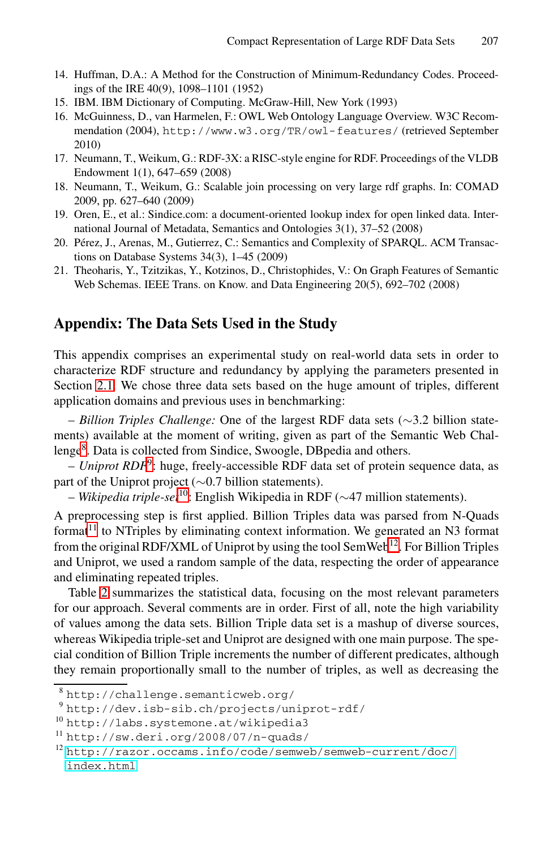- <span id="page-14-6"></span><span id="page-14-4"></span><span id="page-14-3"></span><span id="page-14-2"></span><span id="page-14-0"></span>14. Huffman, D.A.: A Method for the Construction of Minimum-Redundancy Codes. Proceedings of the IRE 40(9), 1098–1101 (1952)
- 15. IBM. IBM Dictionary of Computing. McGraw-Hill, New York (1993)
- <span id="page-14-5"></span>16. McGuinness, D., van Harmelen, F.: OWL Web Ontology Language Overview. W3C Recommendation (2004), http://www.w3.org/TR/owl-features/ (retrieved September 2010)
- <span id="page-14-1"></span>17. Neumann, T., Weikum, G.: RDF-3X: a RISC-style engine for RDF. Proceedings of the VLDB Endowment 1(1), 647–659 (2008)
- 18. Neumann, T., Weikum, G.: Scalable join processing on very large rdf graphs. In: COMAD 2009, pp. 627–640 (2009)
- 19. Oren, E., et al.: Sindice.com: a document-oriented lookup index for open linked data. International Journal of Metadata, Semantics and Ontologies 3(1), 37–52 (2008)
- 20. Pérez, J., Arenas, M., Gutierrez, C.: Semantics and Complexity of SPARQL. ACM Transactions on Database Systems 34(3), 1–45 (2009)
- 21. Theoharis, Y., Tzitzikas, Y., Kotzinos, D., Christophides, V.: On Graph Features of Semantic Web Schemas. IEEE Trans. on Know. and Data Engineering 20(5), 692–702 (2008)

# **Appendix: The Data Sets Used in the Study**

This appendix comprises an experimental study on real-world data sets in order to ch[ara](#page-14-7)cterize RDF structure and redundancy by applying the parameters presented in Section 2.1. We chose three data sets based on the huge amount of triples, different application domains and previous uses in benchmarking:

– *Billion Triples Challenge:* One of the [lar](#page-14-8)gest RDF data sets (∼3.2 billion statements) available at the moment of writing, given as part of the Semantic Web Challenge<sup>8</sup>. Data is collected from Sindice, Swoogle, DBpedia and others.

– *Uniprot RDF*9: huge, freely-accessible RDF data set of protein sequence data, as part of the Uniprot project (∼0.7 billion statements).

– *Wikipedia triple-set*10: English Wikipedia in RDF (∼47 million statements).

A preprocessing step is first applied. Billion Triples data was parsed from N-Quads  $format<sup>11</sup>$  to NTriples by eliminating context information. We generated an N3 format from the original RDF/XML of Uniprot by using the tool SemWeb<sup>12</sup>. For Billion Triples and Uniprot, we used a random sample of the data, respecting the order of appearance [and eliminating repeated tr](http://challenge.semanticweb.org/)iples.

<span id="page-14-7"></span>[Table 2 summarizes the statistical da](http://dev.isb-sib.ch/projects/uniprot-rdf/)ta, focusing on the most relevant parameters [for](http://labs.systemone.at/wikipedia3) [our](http://labs.systemone.at/wikipedia3) [approach.](http://labs.systemone.at/wikipedia3) [Several](http://labs.systemone.at/wikipedia3) [com](http://labs.systemone.at/wikipedia3)ments are in order. First of all, note the high variability [of](http://sw.deri.org/2008/07/n-quads/) [values](http://sw.deri.org/2008/07/n-quads/) [among](http://sw.deri.org/2008/07/n-quads/) [the](http://sw.deri.org/2008/07/n-quads/) [data](http://sw.deri.org/2008/07/n-quads/) [sets](http://sw.deri.org/2008/07/n-quads/). Billion Triple data set is a mashup of diverse sources, [whereas](http://razor.occams.info/code/semweb/semweb-current/doc/index.html) [Wikipedia](http://razor.occams.info/code/semweb/semweb-current/doc/index.html) [triple-set](http://razor.occams.info/code/semweb/semweb-current/doc/index.html) [and](http://razor.occams.info/code/semweb/semweb-current/doc/index.html) [Uniprot](http://razor.occams.info/code/semweb/semweb-current/doc/index.html) [are](http://razor.occams.info/code/semweb/semweb-current/doc/index.html) [designed](http://razor.occams.info/code/semweb/semweb-current/doc/index.html) [wit](http://razor.occams.info/code/semweb/semweb-current/doc/index.html)h one main purpose. The special condition of Billion Triple increments the number of different predicates, although they remain proportionally small to the number of triples, as well as decreasing the

<span id="page-14-8"></span><sup>8</sup> http://challenge.semanticweb.org/

<sup>9</sup> http://dev.isb-sib.ch/projects/uniprot-rdf/

<sup>10</sup> http://labs.systemone.at/wikipedia3

<sup>11</sup> http://sw.deri.org/2008/07/n-quads/

<sup>12</sup> http://razor.occams.info/code/semweb/semweb-current/doc/ index.html